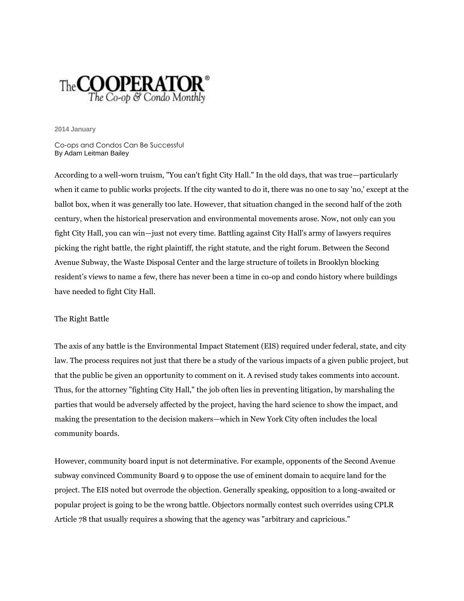

**2014 January**

Co-ops and Condos Can Be Successful By Adam Leitman Bailey

According to a well-worn truism, "You can't fight City Hall." In the old days, that was true—particularly when it came to public works projects. If the city wanted to do it, there was no one to say 'no,' except at the ballot box, when it was generally too late. However, that situation changed in the second half of the 20th century, when the historical preservation and environmental movements arose. Now, not only can you fight City Hall, you can win—just not every time. Battling against City Hall's army of lawyers requires picking the right battle, the right plaintiff, the right statute, and the right forum. Between the Second Avenue Subway, the Waste Disposal Center and the large structure of toilets in Brooklyn blocking resident's views to name a few, there has never been a time in co-op and condo history where buildings have needed to fight City Hall.

## The Right Battle

The axis of any battle is the Environmental Impact Statement (EIS) required under federal, state, and city law. The process requires not just that there be a study of the various impacts of a given public project, but that the public be given an opportunity to comment on it. A revised study takes comments into account. Thus, for the attorney "fighting City Hall," the job often lies in preventing litigation, by marshaling the parties that would be adversely affected by the project, having the hard science to show the impact, and making the presentation to the decision makers—which in New York City often includes the local community boards.

However, community board input is not determinative. For example, opponents of the Second Avenue subway convinced Community Board 9 to oppose the use of eminent domain to acquire land for the project. The EIS noted but overrode the objection. Generally speaking, opposition to a long-awaited or popular project is going to be the wrong battle. Objectors normally contest such overrides using CPLR Article 78 that usually requires a showing that the agency was "arbitrary and capricious."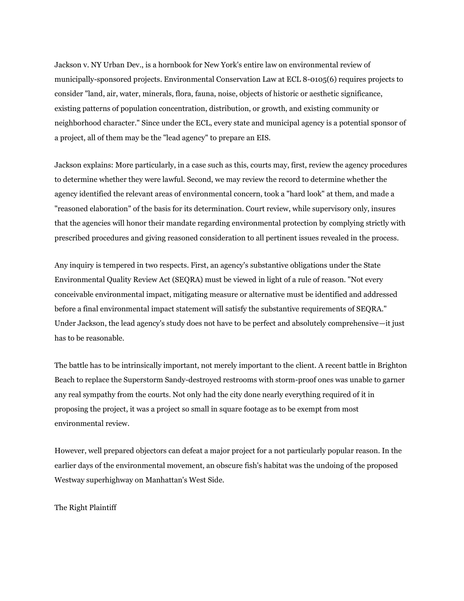Jackson v. NY Urban Dev., is a hornbook for New York's entire law on environmental review of municipally-sponsored projects. Environmental Conservation Law at ECL 8-0105(6) requires projects to consider "land, air, water, minerals, flora, fauna, noise, objects of historic or aesthetic significance, existing patterns of population concentration, distribution, or growth, and existing community or neighborhood character." Since under the ECL, every state and municipal agency is a potential sponsor of a project, all of them may be the "lead agency" to prepare an EIS.

Jackson explains: More particularly, in a case such as this, courts may, first, review the agency procedures to determine whether they were lawful. Second, we may review the record to determine whether the agency identified the relevant areas of environmental concern, took a "hard look" at them, and made a "reasoned elaboration" of the basis for its determination. Court review, while supervisory only, insures that the agencies will honor their mandate regarding environmental protection by complying strictly with prescribed procedures and giving reasoned consideration to all pertinent issues revealed in the process.

Any inquiry is tempered in two respects. First, an agency's substantive obligations under the State Environmental Quality Review Act (SEQRA) must be viewed in light of a rule of reason. "Not every conceivable environmental impact, mitigating measure or alternative must be identified and addressed before a final environmental impact statement will satisfy the substantive requirements of SEQRA." Under Jackson, the lead agency's study does not have to be perfect and absolutely comprehensive—it just has to be reasonable.

The battle has to be intrinsically important, not merely important to the client. A recent battle in Brighton Beach to replace the Superstorm Sandy-destroyed restrooms with storm-proof ones was unable to garner any real sympathy from the courts. Not only had the city done nearly everything required of it in proposing the project, it was a project so small in square footage as to be exempt from most environmental review.

However, well prepared objectors can defeat a major project for a not particularly popular reason. In the earlier days of the environmental movement, an obscure fish's habitat was the undoing of the proposed Westway superhighway on Manhattan's West Side.

The Right Plaintiff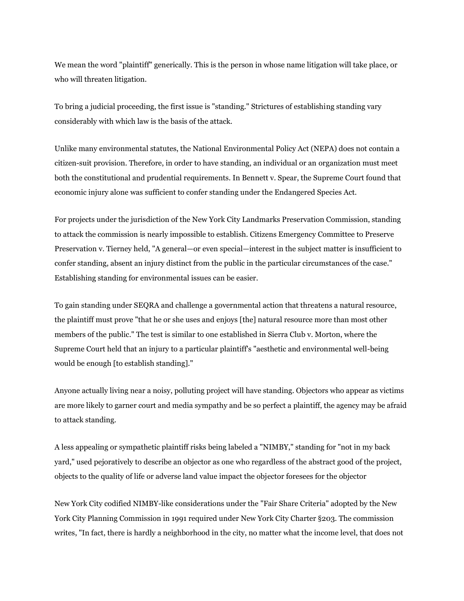We mean the word "plaintiff" generically. This is the person in whose name litigation will take place, or who will threaten litigation.

To bring a judicial proceeding, the first issue is "standing." Strictures of establishing standing vary considerably with which law is the basis of the attack.

Unlike many environmental statutes, the National Environmental Policy Act (NEPA) does not contain a citizen-suit provision. Therefore, in order to have standing, an individual or an organization must meet both the constitutional and prudential requirements. In Bennett v. Spear, the Supreme Court found that economic injury alone was sufficient to confer standing under the Endangered Species Act.

For projects under the jurisdiction of the New York City Landmarks Preservation Commission, standing to attack the commission is nearly impossible to establish. Citizens Emergency Committee to Preserve Preservation v. Tierney held, "A general—or even special—interest in the subject matter is insufficient to confer standing, absent an injury distinct from the public in the particular circumstances of the case." Establishing standing for environmental issues can be easier.

To gain standing under SEQRA and challenge a governmental action that threatens a natural resource, the plaintiff must prove "that he or she uses and enjoys [the] natural resource more than most other members of the public." The test is similar to one established in Sierra Club v. Morton, where the Supreme Court held that an injury to a particular plaintiff's "aesthetic and environmental well-being would be enough [to establish standing]."

Anyone actually living near a noisy, polluting project will have standing. Objectors who appear as victims are more likely to garner court and media sympathy and be so perfect a plaintiff, the agency may be afraid to attack standing.

A less appealing or sympathetic plaintiff risks being labeled a "NIMBY," standing for "not in my back yard," used pejoratively to describe an objector as one who regardless of the abstract good of the project, objects to the quality of life or adverse land value impact the objector foresees for the objector

New York City codified NIMBY-like considerations under the "Fair Share Criteria" adopted by the New York City Planning Commission in 1991 required under New York City Charter §203. The commission writes, "In fact, there is hardly a neighborhood in the city, no matter what the income level, that does not